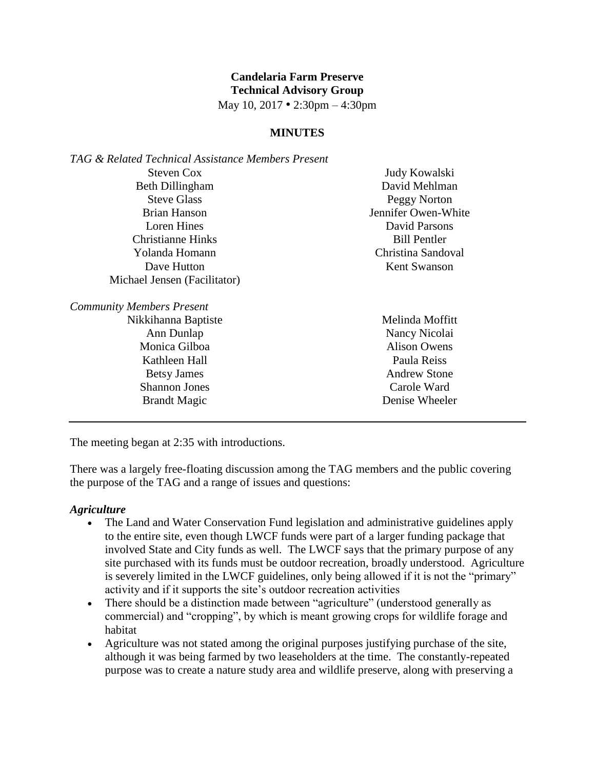# **Candelaria Farm Preserve Technical Advisory Group**

May 10, 2017 • 2:30pm – 4:30pm

#### **MINUTES**

| TAG & Related Technical Assistance Members Present |                     |
|----------------------------------------------------|---------------------|
| <b>Steven Cox</b>                                  | Judy Kowalski       |
| Beth Dillingham                                    | David Mehlman       |
| <b>Steve Glass</b>                                 | Peggy Norton        |
| <b>Brian Hanson</b>                                | Jennifer Owen-White |
| Loren Hines                                        | David Parsons       |
| Christianne Hinks                                  | <b>Bill Pentler</b> |
| Yolanda Homann                                     | Christina Sandoval  |
| Dave Hutton                                        | <b>Kent Swanson</b> |
| Michael Jensen (Facilitator)                       |                     |
| <b>Community Members Present</b>                   |                     |
| Nikkihanna Baptiste                                | Melinda Moffitt     |
| Ann Dunlap                                         | Nancy Nicolai       |
| Monica Gilboa                                      | <b>Alison Owens</b> |
| Kathleen Hall                                      | Paula Reiss         |
| <b>Betsy James</b>                                 | <b>Andrew Stone</b> |
| <b>Shannon Jones</b>                               | Carole Ward         |

The meeting began at 2:35 with introductions.

Brandt Magic

There was a largely free-floating discussion among the TAG members and the public covering the purpose of the TAG and a range of issues and questions:

Denise Wheeler

#### *Agriculture*

- The Land and Water Conservation Fund legislation and administrative guidelines apply to the entire site, even though LWCF funds were part of a larger funding package that involved State and City funds as well. The LWCF says that the primary purpose of any site purchased with its funds must be outdoor recreation, broadly understood. Agriculture is severely limited in the LWCF guidelines, only being allowed if it is not the "primary" activity and if it supports the site's outdoor recreation activities
- There should be a distinction made between "agriculture" (understood generally as commercial) and "cropping", by which is meant growing crops for wildlife forage and habitat
- Agriculture was not stated among the original purposes justifying purchase of the site, although it was being farmed by two leaseholders at the time. The constantly-repeated purpose was to create a nature study area and wildlife preserve, along with preserving a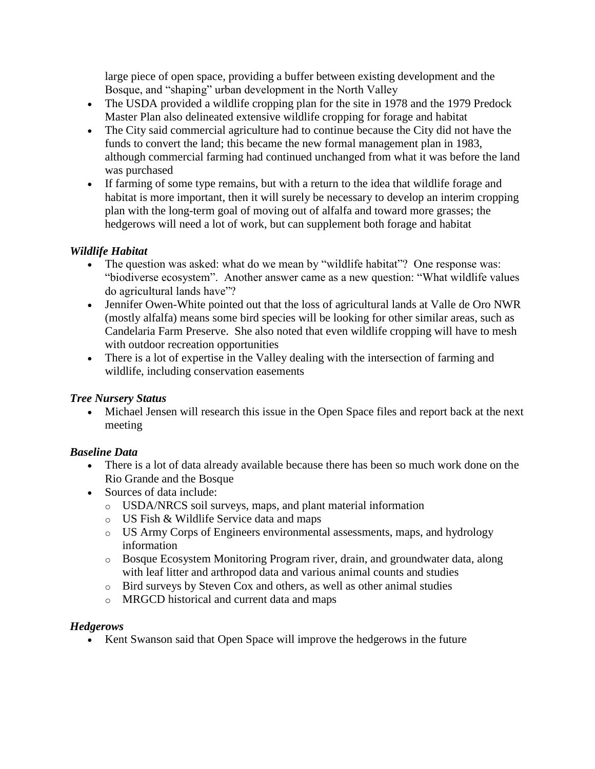large piece of open space, providing a buffer between existing development and the Bosque, and "shaping" urban development in the North Valley

- The USDA provided a wildlife cropping plan for the site in 1978 and the 1979 Predock Master Plan also delineated extensive wildlife cropping for forage and habitat
- The City said commercial agriculture had to continue because the City did not have the funds to convert the land; this became the new formal management plan in 1983, although commercial farming had continued unchanged from what it was before the land was purchased
- If farming of some type remains, but with a return to the idea that wildlife forage and habitat is more important, then it will surely be necessary to develop an interim cropping plan with the long-term goal of moving out of alfalfa and toward more grasses; the hedgerows will need a lot of work, but can supplement both forage and habitat

# *Wildlife Habitat*

- The question was asked: what do we mean by "wildlife habitat"? One response was: "biodiverse ecosystem". Another answer came as a new question: "What wildlife values do agricultural lands have"?
- Jennifer Owen-White pointed out that the loss of agricultural lands at Valle de Oro NWR (mostly alfalfa) means some bird species will be looking for other similar areas, such as Candelaria Farm Preserve. She also noted that even wildlife cropping will have to mesh with outdoor recreation opportunities
- There is a lot of expertise in the Valley dealing with the intersection of farming and wildlife, including conservation easements

# *Tree Nursery Status*

 Michael Jensen will research this issue in the Open Space files and report back at the next meeting

# *Baseline Data*

- There is a lot of data already available because there has been so much work done on the Rio Grande and the Bosque
- Sources of data include:
	- o USDA/NRCS soil surveys, maps, and plant material information
	- o US Fish & Wildlife Service data and maps
	- o US Army Corps of Engineers environmental assessments, maps, and hydrology information
	- o Bosque Ecosystem Monitoring Program river, drain, and groundwater data, along with leaf litter and arthropod data and various animal counts and studies
	- o Bird surveys by Steven Cox and others, as well as other animal studies
	- o MRGCD historical and current data and maps

## *Hedgerows*

• Kent Swanson said that Open Space will improve the hedgerows in the future